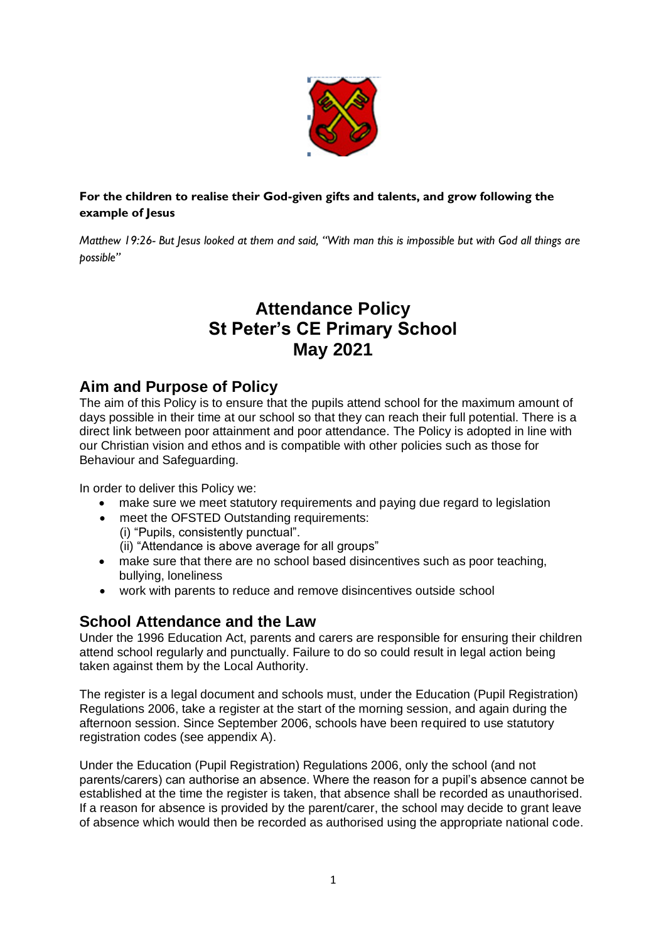

#### **For the children to realise their God-given gifts and talents, and grow following the example of Jesus**

*Matthew 19:26- But Jesus looked at them and said, "With man this is impossible but with God all things are possible"* 

# **Attendance Policy St Peter's CE Primary School May 2021**

#### **Aim and Purpose of Policy**

The aim of this Policy is to ensure that the pupils attend school for the maximum amount of days possible in their time at our school so that they can reach their full potential. There is a direct link between poor attainment and poor attendance. The Policy is adopted in line with our Christian vision and ethos and is compatible with other policies such as those for Behaviour and Safeguarding.

In order to deliver this Policy we:

- make sure we meet statutory requirements and paying due regard to legislation
- meet the OFSTED Outstanding requirements: (i) "Pupils, consistently punctual".

(ii) "Attendance is above average for all groups"

- make sure that there are no school based disincentives such as poor teaching. bullying, loneliness
- work with parents to reduce and remove disincentives outside school

### **School Attendance and the Law**

Under the 1996 Education Act, parents and carers are responsible for ensuring their children attend school regularly and punctually. Failure to do so could result in legal action being taken against them by the Local Authority.

The register is a legal document and schools must, under the Education (Pupil Registration) Regulations 2006, take a register at the start of the morning session, and again during the afternoon session. Since September 2006, schools have been required to use statutory registration codes (see appendix A).

Under the Education (Pupil Registration) Regulations 2006, only the school (and not parents/carers) can authorise an absence. Where the reason for a pupil's absence cannot be established at the time the register is taken, that absence shall be recorded as unauthorised. If a reason for absence is provided by the parent/carer, the school may decide to grant leave of absence which would then be recorded as authorised using the appropriate national code.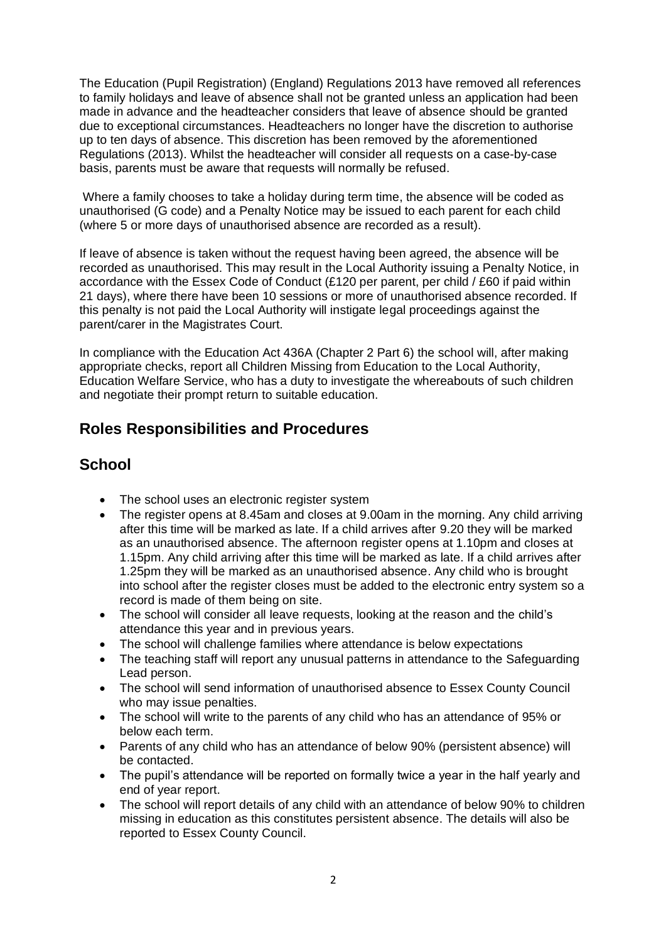The Education (Pupil Registration) (England) Regulations 2013 have removed all references to family holidays and leave of absence shall not be granted unless an application had been made in advance and the headteacher considers that leave of absence should be granted due to exceptional circumstances. Headteachers no longer have the discretion to authorise up to ten days of absence. This discretion has been removed by the aforementioned Regulations (2013). Whilst the headteacher will consider all requests on a case-by-case basis, parents must be aware that requests will normally be refused.

Where a family chooses to take a holiday during term time, the absence will be coded as unauthorised (G code) and a Penalty Notice may be issued to each parent for each child (where 5 or more days of unauthorised absence are recorded as a result).

If leave of absence is taken without the request having been agreed, the absence will be recorded as unauthorised. This may result in the Local Authority issuing a Penalty Notice, in accordance with the Essex Code of Conduct (£120 per parent, per child / £60 if paid within 21 days), where there have been 10 sessions or more of unauthorised absence recorded. If this penalty is not paid the Local Authority will instigate legal proceedings against the parent/carer in the Magistrates Court.

In compliance with the Education Act 436A (Chapter 2 Part 6) the school will, after making appropriate checks, report all Children Missing from Education to the Local Authority, Education Welfare Service, who has a duty to investigate the whereabouts of such children and negotiate their prompt return to suitable education.

### **Roles Responsibilities and Procedures**

## **School**

- The school uses an electronic register system
- The register opens at 8.45am and closes at 9.00am in the morning. Any child arriving after this time will be marked as late. If a child arrives after 9.20 they will be marked as an unauthorised absence. The afternoon register opens at 1.10pm and closes at 1.15pm. Any child arriving after this time will be marked as late. If a child arrives after 1.25pm they will be marked as an unauthorised absence. Any child who is brought into school after the register closes must be added to the electronic entry system so a record is made of them being on site.
- The school will consider all leave requests, looking at the reason and the child's attendance this year and in previous years.
- The school will challenge families where attendance is below expectations
- The teaching staff will report any unusual patterns in attendance to the Safeguarding Lead person.
- The school will send information of unauthorised absence to Essex County Council who may issue penalties.
- The school will write to the parents of any child who has an attendance of 95% or below each term.
- Parents of any child who has an attendance of below 90% (persistent absence) will be contacted.
- The pupil's attendance will be reported on formally twice a year in the half yearly and end of year report.
- The school will report details of any child with an attendance of below 90% to children missing in education as this constitutes persistent absence. The details will also be reported to Essex County Council.